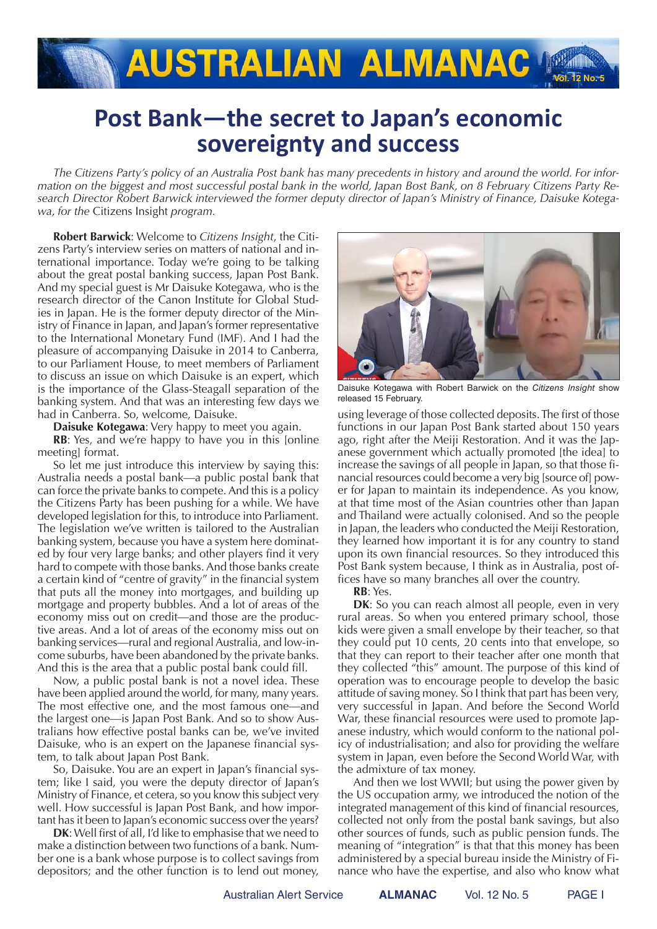## **AUSTRALIAN ALMANAC M**

## **Post Bank—the secret to Japan's economic sovereignty and success**

*The Citizens Party's policy of an Australia Post bank has many precedents in history and around the world. For information on the biggest and most successful postal bank in the world, Japan Bost Bank, on 8 February Citizens Party Research Director Robert Barwick interviewed the former deputy director of Japan's Ministry of Finance, Daisuke Kotegawa, for the* Citizens Insight *program.*

**Robert Barwick**: Welcome to *Citizens Insight*, the Citizens Party's interview series on matters of national and international importance. Today we're going to be talking about the great postal banking success, Japan Post Bank. And my special guest is Mr Daisuke Kotegawa, who is the research director of the Canon Institute for Global Studies in Japan. He is the former deputy director of the Ministry of Finance in Japan, and Japan's former representative to the International Monetary Fund (IMF). And I had the pleasure of accompanying Daisuke in 2014 to Canberra, to our Parliament House, to meet members of Parliament to discuss an issue on which Daisuke is an expert, which is the importance of the Glass-Steagall separation of the banking system. And that was an interesting few days we had in Canberra. So, welcome, Daisuke.

**Daisuke Kotegawa**: Very happy to meet you again.

**RB**: Yes, and we're happy to have you in this [online meeting] format.

So let me just introduce this interview by saying this: Australia needs a postal bank—a public postal bank that can force the private banks to compete. And this is a policy the Citizens Party has been pushing for a while. We have developed legislation for this, to introduce into Parliament. The legislation we've written is tailored to the Australian banking system, because you have a system here dominated by four very large banks; and other players find it very hard to compete with those banks. And those banks create a certain kind of "centre of gravity" in the financial system that puts all the money into mortgages, and building up mortgage and property bubbles. And a lot of areas of the economy miss out on credit—and those are the productive areas. And a lot of areas of the economy miss out on banking services—rural and regional Australia, and low-income suburbs, have been abandoned by the private banks. And this is the area that a public postal bank could fill.

Now, a public postal bank is not a novel idea. These have been applied around the world, for many, many years. The most effective one, and the most famous one—and the largest one—is Japan Post Bank. And so to show Australians how effective postal banks can be, we've invited Daisuke, who is an expert on the Japanese financial system, to talk about Japan Post Bank.

So, Daisuke. You are an expert in Japan's financial system; like I said, you were the deputy director of Japan's Ministry of Finance, et cetera, so you know this subject very well. How successful is Japan Post Bank, and how important has it been to Japan's economic success over the years?

**DK**: Well first of all, I'd like to emphasise that we need to make a distinction between two functions of a bank. Number one is a bank whose purpose is to collect savings from depositors; and the other function is to lend out money,



Daisuke Kotegawa with Robert Barwick on the *Citizens Insight* show released 15 February.

using leverage of those collected deposits. The first of those functions in our Japan Post Bank started about 150 years ago, right after the Meiji Restoration. And it was the Japanese government which actually promoted [the idea] to increase the savings of all people in Japan, so that those financial resources could become a very big [source of] power for Japan to maintain its independence. As you know, at that time most of the Asian countries other than Japan and Thailand were actually colonised. And so the people in Japan, the leaders who conducted the Meiji Restoration, they learned how important it is for any country to stand upon its own financial resources. So they introduced this Post Bank system because, I think as in Australia, post offices have so many branches all over the country.

**RB**: Yes.

**DK**: So you can reach almost all people, even in very rural areas. So when you entered primary school, those kids were given a small envelope by their teacher, so that they could put 10 cents, 20 cents into that envelope, so that they can report to their teacher after one month that they collected "this" amount. The purpose of this kind of operation was to encourage people to develop the basic attitude of saving money. So I think that part has been very, very successful in Japan. And before the Second World War, these financial resources were used to promote Japanese industry, which would conform to the national policy of industrialisation; and also for providing the welfare system in Japan, even before the Second World War, with the admixture of tax money.

And then we lost WWII; but using the power given by the US occupation army, we introduced the notion of the integrated management of this kind of financial resources, collected not only from the postal bank savings, but also other sources of funds, such as public pension funds. The meaning of "integration" is that that this money has been administered by a special bureau inside the Ministry of Finance who have the expertise, and also who know what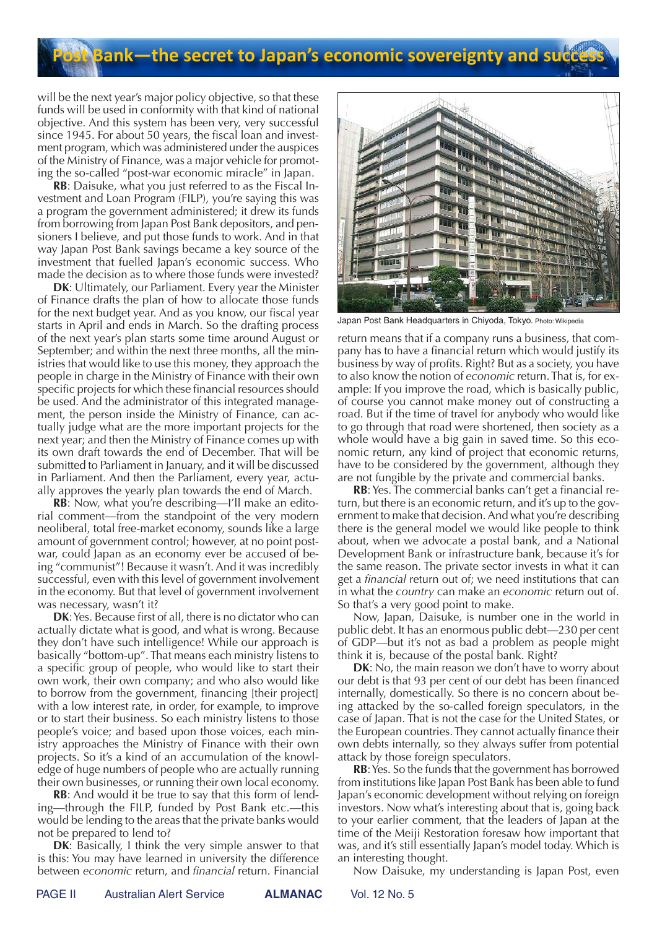## **Bank—the secret to Japan's economic sovereignty and suc**

will be the next year's major policy objective, so that these funds will be used in conformity with that kind of national objective. And this system has been very, very successful since 1945. For about 50 years, the fiscal loan and investment program, which was administered under the auspices of the Ministry of Finance, was a major vehicle for promoting the so-called "post-war economic miracle" in Japan.

**RB**: Daisuke, what you just referred to as the Fiscal Investment and Loan Program (FILP), you're saying this was a program the government administered; it drew its funds from borrowing from Japan Post Bank depositors, and pensioners I believe, and put those funds to work. And in that way Japan Post Bank savings became a key source of the investment that fuelled Japan's economic success. Who made the decision as to where those funds were invested?

**DK**: Ultimately, our Parliament. Every year the Minister of Finance drafts the plan of how to allocate those funds for the next budget year. And as you know, our fiscal year starts in April and ends in March. So the drafting process of the next year's plan starts some time around August or September; and within the next three months, all the ministries that would like to use this money, they approach the people in charge in the Ministry of Finance with their own specific projects for which these financial resources should be used. And the administrator of this integrated management, the person inside the Ministry of Finance, can actually judge what are the more important projects for the next year; and then the Ministry of Finance comes up with its own draft towards the end of December. That will be submitted to Parliament in January, and it will be discussed in Parliament. And then the Parliament, every year, actually approves the yearly plan towards the end of March.

**RB**: Now, what you're describing—I'll make an editorial comment—from the standpoint of the very modern neoliberal, total free-market economy, sounds like a large amount of government control; however, at no point postwar, could Japan as an economy ever be accused of being "communist"! Because it wasn't. And it was incredibly successful, even with this level of government involvement in the economy. But that level of government involvement was necessary, wasn't it?

**DK**: Yes. Because first of all, there is no dictator who can actually dictate what is good, and what is wrong. Because they don't have such intelligence! While our approach is basically "bottom-up". That means each ministry listens to a specific group of people, who would like to start their own work, their own company; and who also would like to borrow from the government, financing [their project] with a low interest rate, in order, for example, to improve or to start their business. So each ministry listens to those people's voice; and based upon those voices, each ministry approaches the Ministry of Finance with their own projects. So it's a kind of an accumulation of the knowledge of huge numbers of people who are actually running their own businesses, or running their own local economy.

**RB**: And would it be true to say that this form of lending—through the FILP, funded by Post Bank etc.—this would be lending to the areas that the private banks would not be prepared to lend to?

**DK**: Basically, I think the very simple answer to that is this: You may have learned in university the difference between *economic* return, and *financial* return. Financial



Japan Post Bank Headquarters in Chiyoda, Tokyo. Photo: Wikipedia

return means that if a company runs a business, that company has to have a financial return which would justify its business by way of profits. Right? But as a society, you have to also know the notion of *economic* return. That is, for example: If you improve the road, which is basically public, of course you cannot make money out of constructing a road. But if the time of travel for anybody who would like to go through that road were shortened, then society as a whole would have a big gain in saved time. So this economic return, any kind of project that economic returns, have to be considered by the government, although they are not fungible by the private and commercial banks.

**RB**: Yes. The commercial banks can't get a financial return, but there is an economic return, and it's up to the government to make that decision. And what you're describing there is the general model we would like people to think about, when we advocate a postal bank, and a National Development Bank or infrastructure bank, because it's for the same reason. The private sector invests in what it can get a *financial* return out of; we need institutions that can in what the *country* can make an *economic* return out of. So that's a very good point to make.

Now, Japan, Daisuke, is number one in the world in public debt. It has an enormous public debt—230 per cent of GDP—but it's not as bad a problem as people might think it is, because of the postal bank. Right?

**DK**: No, the main reason we don't have to worry about our debt is that 93 per cent of our debt has been financed internally, domestically. So there is no concern about being attacked by the so-called foreign speculators, in the case of Japan. That is not the case for the United States, or the European countries. They cannot actually finance their own debts internally, so they always suffer from potential attack by those foreign speculators.

**RB**: Yes. So the funds that the government has borrowed from institutions like Japan Post Bank has been able to fund Japan's economic development without relying on foreign investors. Now what's interesting about that is, going back to your earlier comment, that the leaders of Japan at the time of the Meiji Restoration foresaw how important that was, and it's still essentially Japan's model today. Which is an interesting thought.

Now Daisuke, my understanding is Japan Post, even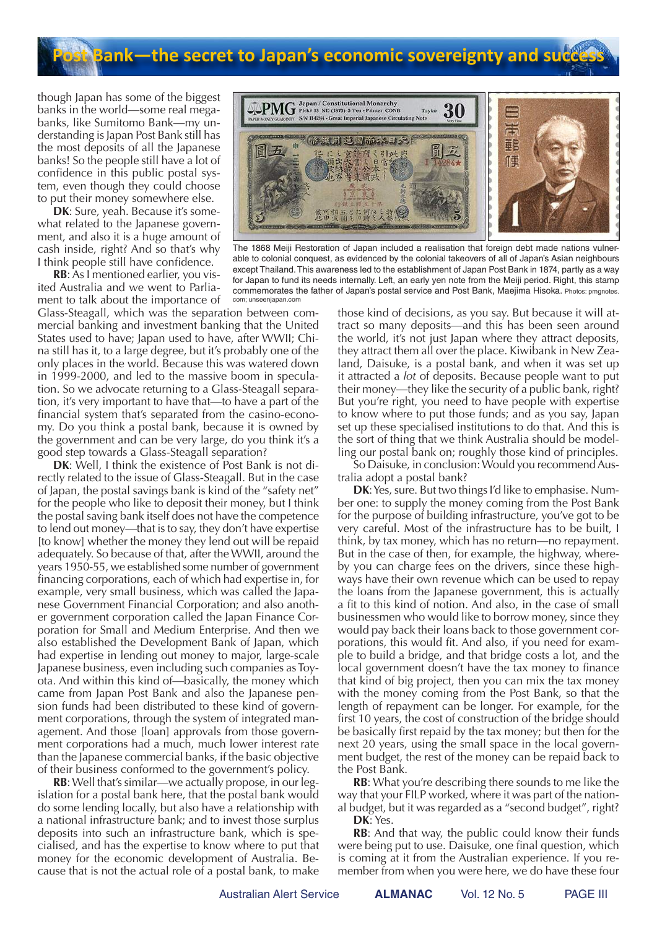## **Bank—the secret to Japan's economic sovereignty and succ**

though Japan has some of the biggest banks in the world—some real megabanks, like Sumitomo Bank—my understanding is Japan Post Bank still has the most deposits of all the Japanese banks! So the people still have a lot of confidence in this public postal system, even though they could choose to put their money somewhere else.

**DK**: Sure, yeah. Because it's somewhat related to the Japanese government, and also it is a huge amount of cash inside, right? And so that's why I think people still have confidence.

**RB**: As I mentioned earlier, you visited Australia and we went to Parliament to talk about the importance of

Glass-Steagall, which was the separation between commercial banking and investment banking that the United States used to have; Japan used to have, after WWII; China still has it, to a large degree, but it's probably one of the only places in the world. Because this was watered down in 1999-2000, and led to the massive boom in speculation. So we advocate returning to a Glass-Steagall separation, it's very important to have that—to have a part of the financial system that's separated from the casino-economy. Do you think a postal bank, because it is owned by the government and can be very large, do you think it's a good step towards a Glass-Steagall separation?

**DK**: Well, I think the existence of Post Bank is not directly related to the issue of Glass-Steagall. But in the case of Japan, the postal savings bank is kind of the "safety net" for the people who like to deposit their money, but I think the postal saving bank itself does not have the competence to lend out money—that is to say, they don't have expertise [to know] whether the money they lend out will be repaid adequately. So because of that, after the WWII, around the years 1950-55, we established some number of government financing corporations, each of which had expertise in, for example, very small business, which was called the Japanese Government Financial Corporation; and also another government corporation called the Japan Finance Corporation for Small and Medium Enterprise. And then we also established the Development Bank of Japan, which had expertise in lending out money to major, large-scale Japanese business, even including such companies as Toyota. And within this kind of—basically, the money which came from Japan Post Bank and also the Japanese pension funds had been distributed to these kind of government corporations, through the system of integrated management. And those [loan] approvals from those government corporations had a much, much lower interest rate than the Japanese commercial banks, if the basic objective of their business conformed to the government's policy.

**RB**: Well that's similar—we actually propose, in our legislation for a postal bank here, that the postal bank would do some lending locally, but also have a relationship with a national infrastructure bank; and to invest those surplus deposits into such an infrastructure bank, which is specialised, and has the expertise to know where to put that money for the economic development of Australia. Because that is not the actual role of a postal bank, to make



The 1868 Meiji Restoration of Japan included a realisation that foreign debt made nations vulnerable to colonial conquest, as evidenced by the colonial takeovers of all of Japan's Asian neighbours except Thailand. This awareness led to the establishment of Japan Post Bank in 1874, partly as a way for Japan to fund its needs internally. Left, an early yen note from the Meiji period. Right, this stamp commemorates the father of Japan's postal service and Post Bank, Maejima Hisoka. Photos: pmgnotes. com; unseenjapan.com

those kind of decisions, as you say. But because it will attract so many deposits—and this has been seen around the world, it's not just Japan where they attract deposits, they attract them all over the place. Kiwibank in New Zealand, Daisuke, is a postal bank, and when it was set up it attracted a *lot* of deposits. Because people want to put their money—they like the security of a public bank, right? But you're right, you need to have people with expertise to know where to put those funds; and as you say, Japan set up these specialised institutions to do that. And this is the sort of thing that we think Australia should be modelling our postal bank on; roughly those kind of principles.

So Daisuke, in conclusion: Would you recommend Australia adopt a postal bank?

**DK**: Yes, sure. But two things I'd like to emphasise. Number one: to supply the money coming from the Post Bank for the purpose of building infrastructure, you've got to be very careful. Most of the infrastructure has to be built, I think, by tax money, which has no return—no repayment. But in the case of then, for example, the highway, whereby you can charge fees on the drivers, since these highways have their own revenue which can be used to repay the loans from the Japanese government, this is actually a fit to this kind of notion. And also, in the case of small businessmen who would like to borrow money, since they would pay back their loans back to those government corporations, this would fit. And also, if you need for example to build a bridge, and that bridge costs a lot, and the local government doesn't have the tax money to finance that kind of big project, then you can mix the tax money with the money coming from the Post Bank, so that the length of repayment can be longer. For example, for the first 10 years, the cost of construction of the bridge should be basically first repaid by the tax money; but then for the next 20 years, using the small space in the local government budget, the rest of the money can be repaid back to the Post Bank.

**RB**: What you're describing there sounds to me like the way that your FILP worked, where it was part of the national budget, but it was regarded as a "second budget", right? **DK**: Yes.

**RB**: And that way, the public could know their funds were being put to use. Daisuke, one final question, which is coming at it from the Australian experience. If you remember from when you were here, we do have these four